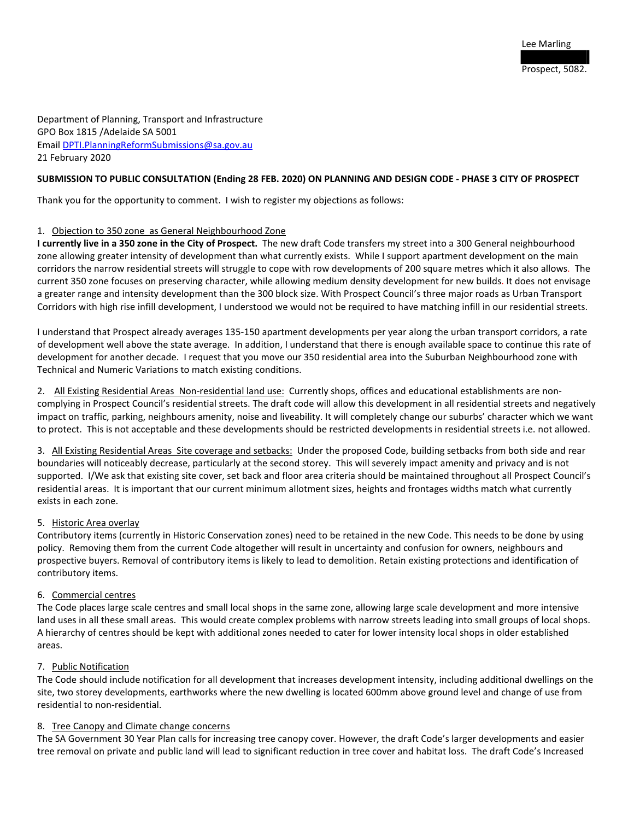Department of Planning, Transport and Infrastructure GPO Box 1815 /Adelaide SA 5001 Emai[l DPTI.PlanningReformSubmissions@sa.gov.au](mailto:DPTI.PlanningReformSubmissions@sa.gov.au)  21 February 2020

#### **SUBMISSION TO PUBLIC CONSULTATION (Ending 28 FEB. 2020) ON PLANNING AND DESIGN CODE - PHASE 3 CITY OF PROSPECT**

Thank you for the opportunity to comment. I wish to register my objections as follows:

#### 1. Objection to 350 zone as General Neighbourhood Zone

**I currently live in a 350 zone in the City of Prospect.** The new draft Code transfers my street into a 300 General neighbourhood zone allowing greater intensity of development than what currently exists. While I support apartment development on the main corridors the narrow residential streets will struggle to cope with row developments of 200 square metres which it also allows. The current 350 zone focuses on preserving character, while allowing medium density development for new builds. It does not envisage a greater range and intensity development than the 300 block size. With Prospect Council's three major roads as Urban Transport Corridors with high rise infill development, I understood we would not be required to have matching infill in our residential streets.

I understand that Prospect already averages 135-150 apartment developments per year along the urban transport corridors, a rate of development well above the state average. In addition, I understand that there is enough available space to continue this rate of development for another decade. I request that you move our 350 residential area into the Suburban Neighbourhood zone with Technical and Numeric Variations to match existing conditions.

2. All Existing Residential Areas Non-residential land use: Currently shops, offices and educational establishments are noncomplying in Prospect Council's residential streets. The draft code will allow this development in all residential streets and negatively impact on traffic, parking, neighbours amenity, noise and liveability. It will completely change our suburbs' character which we want to protect. This is not acceptable and these developments should be restricted developments in residential streets i.e. not allowed.

3. All Existing Residential Areas Site coverage and setbacks: Under the proposed Code, building setbacks from both side and rear boundaries will noticeably decrease, particularly at the second storey. This will severely impact amenity and privacy and is not supported. I/We ask that existing site cover, set back and floor area criteria should be maintained throughout all Prospect Council's residential areas. It is important that our current minimum allotment sizes, heights and frontages widths match what currently exists in each zone.

# 5. Historic Area overlay

Contributory items (currently in Historic Conservation zones) need to be retained in the new Code. This needs to be done by using policy. Removing them from the current Code altogether will result in uncertainty and confusion for owners, neighbours and prospective buyers. Removal of contributory items is likely to lead to demolition. Retain existing protections and identification of contributory items.

# 6. Commercial centres

The Code places large scale centres and small local shops in the same zone, allowing large scale development and more intensive land uses in all these small areas. This would create complex problems with narrow streets leading into small groups of local shops. A hierarchy of centres should be kept with additional zones needed to cater for lower intensity local shops in older established areas.

# 7. Public Notification

The Code should include notification for all development that increases development intensity, including additional dwellings on the site, two storey developments, earthworks where the new dwelling is located 600mm above ground level and change of use from residential to non-residential.

# 8. Tree Canopy and Climate change concerns

The SA Government 30 Year Plan calls for increasing tree canopy cover. However, the draft Code's larger developments and easier tree removal on private and public land will lead to significant reduction in tree cover and habitat loss. The draft Code's Increased